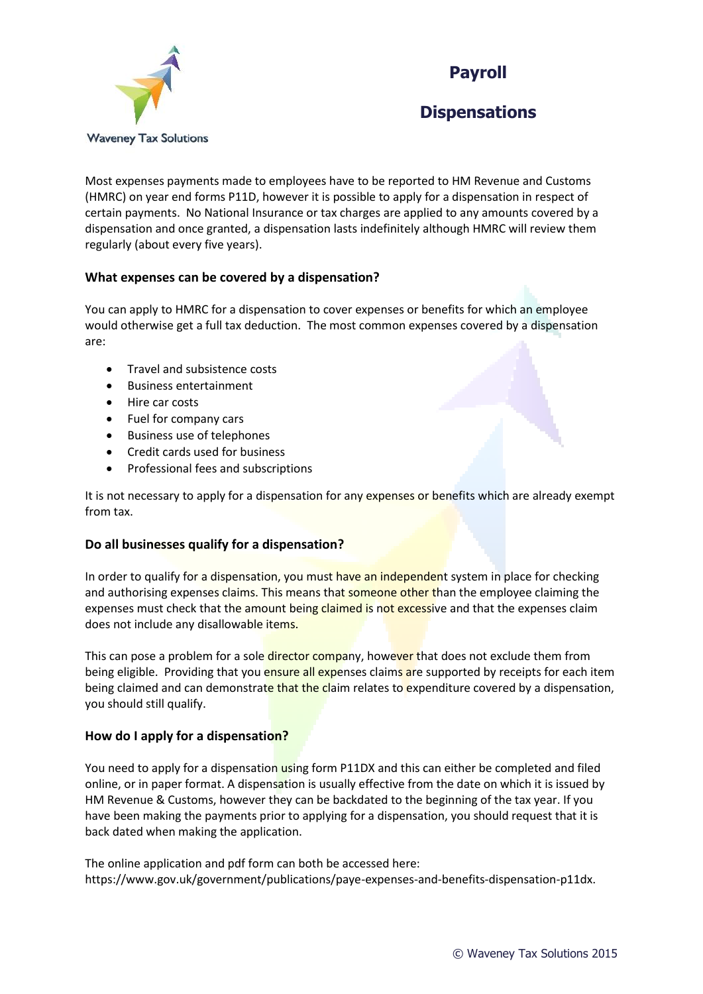



# **Dispensations**

Most expenses payments made to employees have to be reported to HM Revenue and Customs (HMRC) on year end forms P11D, however it is possible to apply for a dispensation in respect of certain payments. No National Insurance or tax charges are applied to any amounts covered by a dispensation and once granted, a dispensation lasts indefinitely although HMRC will review them regularly (about every five years).

## **What expenses can be covered by a dispensation?**

You can apply to HMRC for a dispensation to cover expenses or benefits for which an employee would otherwise get a full tax deduction. The most common expenses covered by a dispensation are:

- Travel and subsistence costs
- Business entertainment
- Hire car costs
- Fuel for company cars
- Business use of telephones
- Credit cards used for business
- Professional fees and subscriptions

It is not necessary to apply for a dispensation for any expenses or benefits which are already exempt from tax.

# **Do all businesses qualify for a dispensation?**

In order to qualify for a dispensation, you must have an independent system in place for checking and authorising expenses claims. This means that someone other than the employee claiming the expenses must check that the amount being claimed is not excessive and that the expenses claim does not include any disallowable items.

This can pose a problem for a sole **director compa**ny, however that does not exclude them from being eligible. Providing that you ensure all expenses claims are supported by receipts for each item being claimed and can demonstrate that the claim relates to expenditure covered by a dispensation, you should still qualify.

## **How do I apply for a dispensation?**

You need to apply for a dispensation using form P11DX and this can either be completed and filed online, or in paper format. A dispensation is usually effective from the date on which it is issued by HM Revenue & Customs, however they can be backdated to the beginning of the tax year. If you have been making the payments prior to applying for a dispensation, you should request that it is back dated when making the application.

The online application and pdf form can both be accessed here: https://www.gov.uk/government/publications/paye-expenses-and-benefits-dispensation-p11dx.